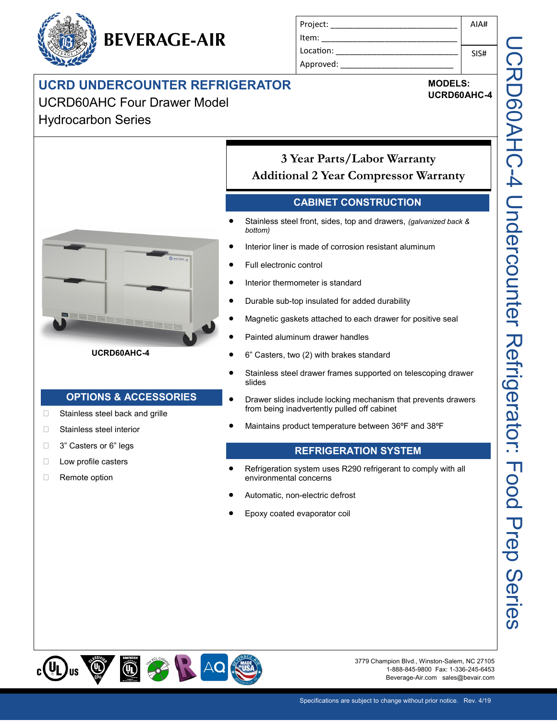## **UCRD UNDERCOUNTER REFRIGERATOR**

**BEVERAGE-AIR**

UCRD60AHC Four Drawer Model

Hydrocarbon Series



# **MODELS:**

**UCRD60AHC-4**



#### **UCRD60AHC-4**

#### **OPTIONS & ACCESSORIES**

- □ Stainless steel back and grille
- □ Stainless steel interior
- □ 3" Casters or 6" legs
- **Low profile casters**
- □ Remote option

### **3 Year Parts/Labor Warranty Additional 2 Year Compressor Warranty**

#### **CABINET CONSTRUCTION**

- Stainless steel front, sides, top and drawers, *(galvanized back & bottom)*
- Interior liner is made of corrosion resistant aluminum
- Full electronic control
- Interior thermometer is standard
- Durable sub-top insulated for added durability
- Magnetic gaskets attached to each drawer for positive seal
- Painted aluminum drawer handles
- 6" Casters, two (2) with brakes standard
- Stainless steel drawer frames supported on telescoping drawer slides
- Drawer slides include locking mechanism that prevents drawers from being inadvertently pulled off cabinet
- Maintains product temperature between 36ºF and 38ºF

#### **REFRIGERATION SYSTEM**

- Refrigeration system uses R290 refrigerant to comply with all environmental concerns
- Automatic, non-electric defrost
- Epoxy coated evaporator coil



3779 Champion Blvd., Winston-Salem, NC 27105 1-888-845-9800 Fax: 1-336-245-6453 Beverage-Air.com sales@bevair.com